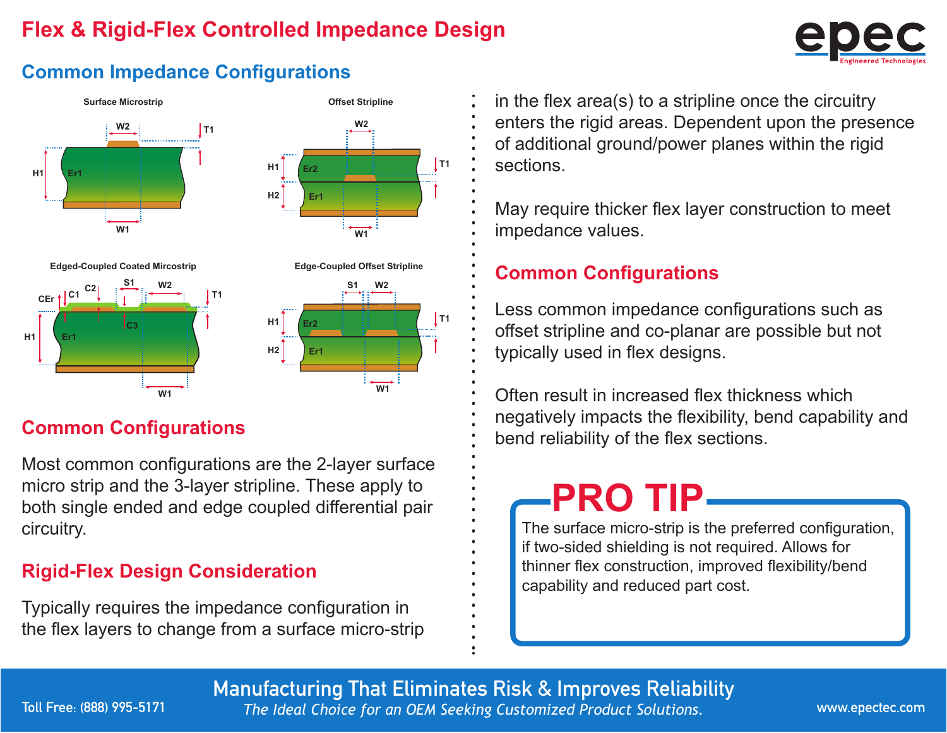### **Flex & Rigid-Flex Controlled Impedance Design**



#### **Common Impedance Configurations**



Most common configurations are the 2-layer surface micro strip and the 3-layer stripline. These apply to both single ended and edge coupled differential pair circuitry.

#### **Rigid-Flex Design Consideration**

Typically requires the impedance configuration in the flex layers to change from a surface micro-strip in the flex area(s) to a stripline once the circuitry enters the rigid areas. Dependent upon the presence of additional ground/power planes within the rigid sections.

May require thicker flex layer construction to meet impedance values.

### **Common Configurations**

Less common impedance configurations such as offset stripline and co-planar are possible but not typically used in flex designs.

Often result in increased flex thickness which negatively impacts the flexibility, bend capability and **Common Configurations**<br> **Common Configurations**<br> **Common Configurations**<br> **Common Configurations**<br> **Common Configurations** 

# **PRO TIP**

The surface micro-strip is the preferred configuration, if two-sided shielding is not required. Allows for thinner flex construction, improved flexibility/bend capability and reduced part cost.

Manufacturing That Eliminates Risk & Improves Reliability

Toll Free: (888) 995-5171

*The Ideal Choice for an OEM Seeking Customized Product Solutions.* www.epectec.com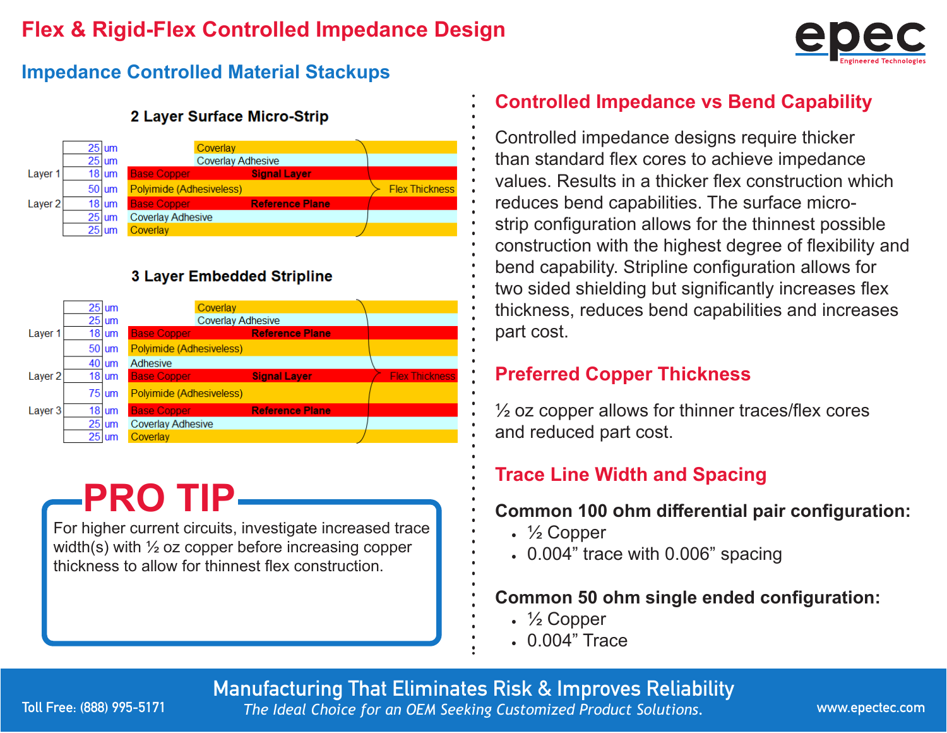### **Flex & Rigid-Flex Controlled Impedance Design**



#### **Impedance Controlled Material Stackups**



#### 2 Layer Surface Micro-Strip

#### **3 Layer Embedded Stripline**



# **PRO TIP**

For higher current circuits, investigate increased trace width(s) with  $\frac{1}{2}$  oz copper before increasing copper thickness to allow for thinnest flex construction.

#### **Controlled Impedance vs Bend Capability**

Controlled impedance designs require thicker than standard flex cores to achieve impedance values. Results in a thicker flex construction which reduces bend capabilities. The surface microstrip configuration allows for the thinnest possible construction with the highest degree of flexibility and bend capability. Stripline configuration allows for two sided shielding but significantly increases flex thickness, reduces bend capabilities and increases part cost.

#### **Preferred Copper Thickness**

 $\frac{1}{2}$  oz copper allows for thinner traces/flex cores and reduced part cost.

### **Trace Line Width and Spacing**

#### **Common 100 Ohm differential pair configuration:**

- ½ Copper
- 0.004" trace with 0.006" spacing

#### **Common 50 ohm single ended configuration:**

- ½ Copper
- 0.004" Trace

Manufacturing That Eliminates Risk & Improves Reliability

*The Ideal Choice for an OEM Seeking Customized Product Solutions.* www.epectec.com